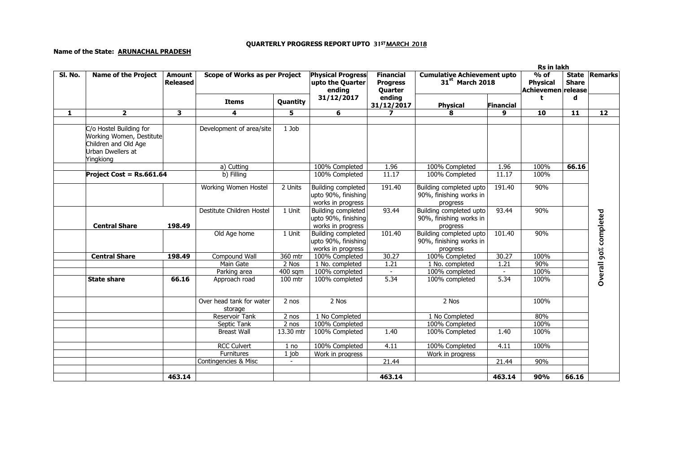## QUARTERLY PROGRESS REPORT UPTO 31ST<u>MARCH 2018</u>

## Name of the State: ARUNACHAL PRADESH

|              |                                                                                                               |                                  | Rs in lakh                           |                 |                                                                       |                                                |                                                                   |           |                                                 |                              |                       |
|--------------|---------------------------------------------------------------------------------------------------------------|----------------------------------|--------------------------------------|-----------------|-----------------------------------------------------------------------|------------------------------------------------|-------------------------------------------------------------------|-----------|-------------------------------------------------|------------------------------|-----------------------|
| SI. No.      | <b>Name of the Project</b>                                                                                    | <b>Amount</b><br><b>Released</b> | <b>Scope of Works as per Project</b> |                 | <b>Physical Progress</b><br>upto the Quarter<br>ending                | <b>Financial</b><br><b>Progress</b><br>Quarter | <b>Cumulative Achievement upto</b><br>31 <sup>st</sup> March 2018 |           | $%$ of<br><b>Physical</b><br>Achievemen release | <b>State</b><br><b>Share</b> | <b>Remarks</b>        |
|              |                                                                                                               |                                  | <b>Items</b>                         | <b>Quantity</b> | 31/12/2017                                                            | ending<br>31/12/2017                           | <b>Physical</b>                                                   | Financial | t                                               | d                            |                       |
| $\mathbf{1}$ | $\mathbf{2}$                                                                                                  | 3                                | $\overline{4}$                       | 5               | 6                                                                     | $\overline{ }$                                 | 8                                                                 | 9         | 10                                              | 11                           | 12                    |
|              | C/o Hostel Building for<br>Working Women, Destitute<br>Children and Old Age<br>Urban Dwellers at<br>Yingkiong |                                  | Development of area/site             | 1 Job           |                                                                       |                                                |                                                                   |           |                                                 |                              |                       |
|              |                                                                                                               |                                  | a) Cutting                           |                 | 100% Completed                                                        | 1.96                                           | 100% Completed                                                    | 1.96      | 100%                                            | 66.16                        |                       |
|              | Project Cost = Rs.661.64                                                                                      |                                  | b) Filling                           |                 | 100% Completed                                                        | 11.17                                          | 100% Completed                                                    | 11.17     | 100%                                            |                              |                       |
|              |                                                                                                               |                                  | Working Women Hostel                 | 2 Units         | <b>Building completed</b><br>upto 90%, finishing<br>works in progress | 191.40                                         | Building completed upto<br>90%, finishing works in<br>progress    | 191.40    | 90%                                             |                              |                       |
|              | <b>Central Share</b>                                                                                          | 198.49                           | Destitute Children Hostel            | 1 Unit          | <b>Building completed</b><br>upto 90%, finishing<br>works in progress | 93.44                                          | Building completed upto<br>90%, finishing works in<br>progress    | 93.44     | 90%                                             |                              |                       |
|              |                                                                                                               |                                  | Old Age home                         | 1 Unit          | Building completed<br>upto 90%, finishing<br>works in progress        | 101.40                                         | Building completed upto<br>90%, finishing works in<br>progress    | 101.40    | 90%                                             |                              | Overall 90% completed |
|              | <b>Central Share</b>                                                                                          | 198.49                           | Compound Wall                        | 360 mtr         | 100% Completed                                                        | 30.27                                          | 100% Completed                                                    | 30.27     | 100%                                            |                              |                       |
|              |                                                                                                               |                                  | Main Gate                            | 2 Nos           | 1 No. completed                                                       | 1.21                                           | 1 No. completed                                                   | 1.21      | 90%                                             |                              |                       |
|              |                                                                                                               |                                  | Parking area                         | $400$ sqm       | 100% completed                                                        | $\sim$                                         | 100% completed                                                    | $\sim$    | 100%                                            |                              |                       |
|              | <b>State share</b>                                                                                            | 66.16                            | Approach road                        | 100 mtr         | 100% completed                                                        | 5.34                                           | 100% completed                                                    | 5.34      | 100%                                            |                              |                       |
|              |                                                                                                               |                                  | Over head tank for water<br>storage  | 2 nos           | 2 Nos                                                                 |                                                | 2 Nos                                                             |           | 100%                                            |                              |                       |
|              |                                                                                                               |                                  | <b>Reservoir Tank</b>                | 2 nos           | 1 No Completed                                                        |                                                | 1 No Completed                                                    |           | 80%                                             |                              |                       |
|              |                                                                                                               |                                  | Septic Tank                          | 2 nos           | 100% Completed                                                        |                                                | 100% Completed                                                    |           | 100%                                            |                              |                       |
|              |                                                                                                               |                                  | <b>Breast Wall</b>                   | 13.30 mtr       | 100% Completed                                                        | 1.40                                           | 100% Completed                                                    | 1.40      | 100%                                            |                              |                       |
|              |                                                                                                               |                                  | <b>RCC Culvert</b>                   | 1 no            | 100% Completed                                                        | 4.11                                           | 100% Completed                                                    | 4.11      | 100%                                            |                              |                       |
|              |                                                                                                               |                                  | Furnitures                           | $1$ job         | Work in progress                                                      |                                                | Work in progress                                                  |           |                                                 |                              |                       |
|              |                                                                                                               |                                  | Contingencies & Misc                 |                 |                                                                       | 21.44                                          |                                                                   | 21.44     | 90%                                             |                              |                       |
|              |                                                                                                               | 463.14                           |                                      |                 |                                                                       | 463.14                                         |                                                                   | 463.14    | 90%                                             | 66.16                        |                       |